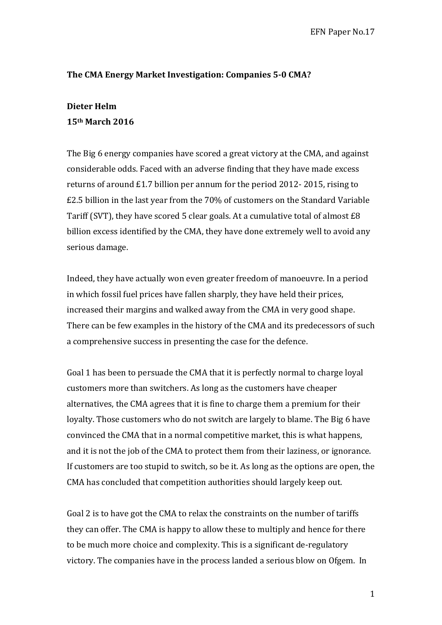# The CMA Energy Market Investigation: Companies 5-0 CMA?

## **Dieter Helm**

## **15th March 2016**

The Big 6 energy companies have scored a great victory at the CMA, and against considerable odds. Faced with an adverse finding that they have made excess returns of around  $£1.7$  billion per annum for the period  $2012-2015$ , rising to  $£2.5$  billion in the last vear from the  $70\%$  of customers on the Standard Variable Tariff (SVT), they have scored 5 clear goals. At a cumulative total of almost  $£8$ billion excess identified by the CMA, they have done extremely well to avoid any serious damage.

Indeed, they have actually won even greater freedom of manoeuvre. In a period in which fossil fuel prices have fallen sharply, they have held their prices, increased their margins and walked away from the CMA in very good shape. There can be few examples in the history of the CMA and its predecessors of such a comprehensive success in presenting the case for the defence.

Goal 1 has been to persuade the CMA that it is perfectly normal to charge loyal customers more than switchers. As long as the customers have cheaper alternatives, the CMA agrees that it is fine to charge them a premium for their loyalty. Those customers who do not switch are largely to blame. The Big 6 have convinced the CMA that in a normal competitive market, this is what happens, and it is not the job of the CMA to protect them from their laziness, or ignorance. If customers are too stupid to switch, so be it. As long as the options are open, the CMA has concluded that competition authorities should largely keep out.

Goal 2 is to have got the CMA to relax the constraints on the number of tariffs they can offer. The CMA is happy to allow these to multiply and hence for there to be much more choice and complexity. This is a significant de-regulatory victory. The companies have in the process landed a serious blow on Ofgem. In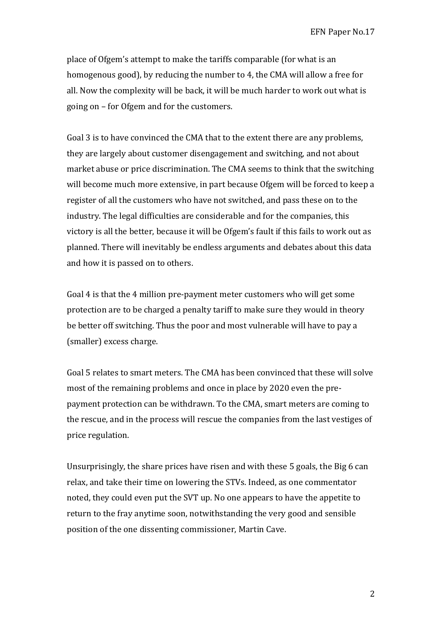place of Ofgem's attempt to make the tariffs comparable (for what is an homogenous good), by reducing the number to 4, the CMA will allow a free for all. Now the complexity will be back, it will be much harder to work out what is going on – for Ofgem and for the customers.

Goal 3 is to have convinced the CMA that to the extent there are any problems, they are largely about customer disengagement and switching, and not about market abuse or price discrimination. The CMA seems to think that the switching will become much more extensive, in part because Ofgem will be forced to keep a register of all the customers who have not switched, and pass these on to the industry. The legal difficulties are considerable and for the companies, this victory is all the better, because it will be Ofgem's fault if this fails to work out as planned. There will inevitably be endless arguments and debates about this data and how it is passed on to others.

Goal 4 is that the 4 million pre-payment meter customers who will get some protection are to be charged a penalty tariff to make sure they would in theory be better off switching. Thus the poor and most vulnerable will have to pay a (smaller) excess charge.

Goal 5 relates to smart meters. The CMA has been convinced that these will solve most of the remaining problems and once in place by 2020 even the prepayment protection can be withdrawn. To the CMA, smart meters are coming to the rescue, and in the process will rescue the companies from the last vestiges of price regulation.

Unsurprisingly, the share prices have risen and with these 5 goals, the Big 6 can relax, and take their time on lowering the STVs. Indeed, as one commentator noted, they could even put the SVT up. No one appears to have the appetite to return to the fray anytime soon, notwithstanding the very good and sensible position of the one dissenting commissioner, Martin Cave.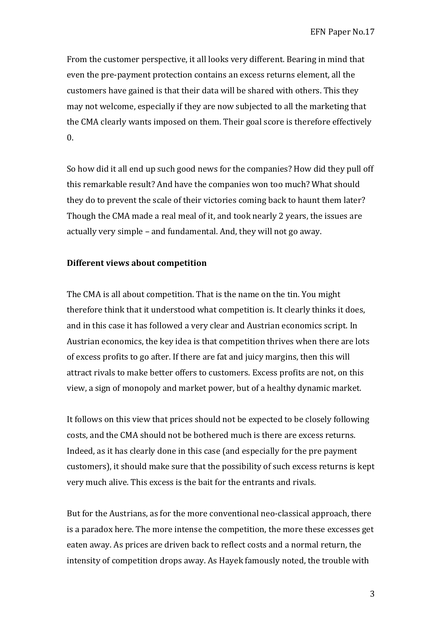From the customer perspective, it all looks very different. Bearing in mind that even the pre-payment protection contains an excess returns element, all the customers have gained is that their data will be shared with others. This they may not welcome, especially if they are now subjected to all the marketing that the CMA clearly wants imposed on them. Their goal score is therefore effectively  $\mathbf{0}$ .

So how did it all end up such good news for the companies? How did they pull off this remarkable result? And have the companies won too much? What should they do to prevent the scale of their victories coming back to haunt them later? Though the CMA made a real meal of it, and took nearly 2 years, the issues are actually very simple – and fundamental. And, they will not go away.

## **Different views about competition**

The CMA is all about competition. That is the name on the tin. You might therefore think that it understood what competition is. It clearly thinks it does, and in this case it has followed a very clear and Austrian economics script. In Austrian economics, the key idea is that competition thrives when there are lots of excess profits to go after. If there are fat and juicy margins, then this will attract rivals to make better offers to customers. Excess profits are not, on this view, a sign of monopoly and market power, but of a healthy dynamic market.

It follows on this view that prices should not be expected to be closely following costs, and the CMA should not be bothered much is there are excess returns. Indeed, as it has clearly done in this case (and especially for the pre payment customers), it should make sure that the possibility of such excess returns is kept very much alive. This excess is the bait for the entrants and rivals.

But for the Austrians, as for the more conventional neo-classical approach, there is a paradox here. The more intense the competition, the more these excesses get eaten away. As prices are driven back to reflect costs and a normal return, the intensity of competition drops away. As Hayek famously noted, the trouble with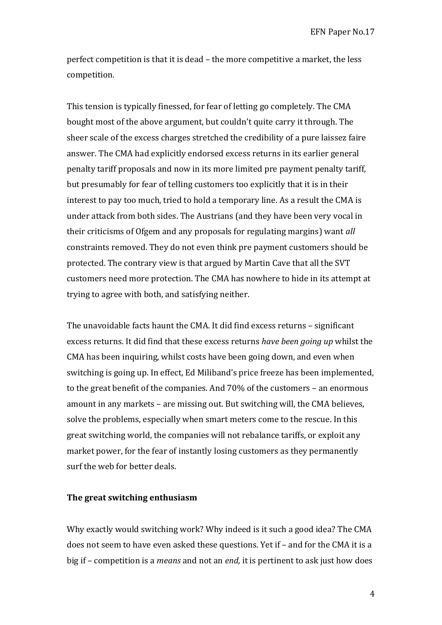perfect competition is that it is dead – the more competitive a market, the less competition. 

This tension is typically finessed, for fear of letting go completely. The CMA bought most of the above argument, but couldn't quite carry it through. The sheer scale of the excess charges stretched the credibility of a pure laissez faire answer. The CMA had explicitly endorsed excess returns in its earlier general penalty tariff proposals and now in its more limited pre payment penalty tariff, but presumably for fear of telling customers too explicitly that it is in their interest to pay too much, tried to hold a temporary line. As a result the CMA is under attack from both sides. The Austrians (and they have been very vocal in their criticisms of Ofgem and any proposals for regulating margins) want *all* constraints removed. They do not even think pre payment customers should be protected. The contrary view is that argued by Martin Cave that all the SVT customers need more protection. The CMA has nowhere to hide in its attempt at trying to agree with both, and satisfying neither.

The unavoidable facts haunt the CMA. It did find excess returns - significant excess returns. It did find that these excess returns *have been going up* whilst the CMA has been inquiring, whilst costs have been going down, and even when switching is going up. In effect, Ed Miliband's price freeze has been implemented, to the great benefit of the companies. And  $70\%$  of the customers – an enormous amount in any markets  $-$  are missing out. But switching will, the CMA believes, solve the problems, especially when smart meters come to the rescue. In this great switching world, the companies will not rebalance tariffs, or exploit any market power, for the fear of instantly losing customers as they permanently surf the web for better deals.

#### **The great switching enthusiasm**

Why exactly would switching work? Why indeed is it such a good idea? The CMA does not seem to have even asked these questions. Yet if - and for the CMA it is a big if – competition is a *means* and not an *end*, it is pertinent to ask just how does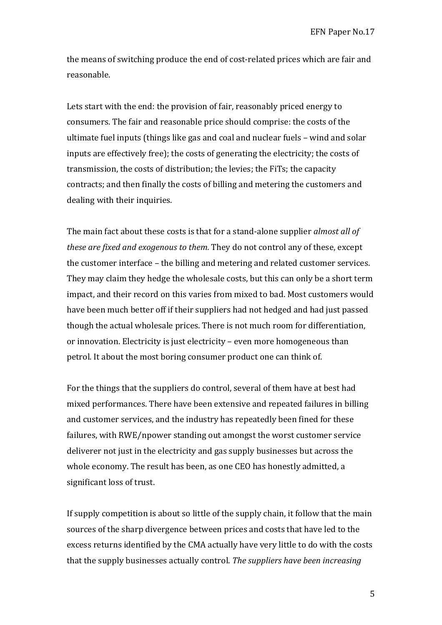the means of switching produce the end of cost-related prices which are fair and reasonable. 

Lets start with the end: the provision of fair, reasonably priced energy to consumers. The fair and reasonable price should comprise: the costs of the ultimate fuel inputs (things like gas and coal and nuclear fuels  $-$  wind and solar inputs are effectively free); the costs of generating the electricity; the costs of transmission, the costs of distribution; the levies; the FiTs; the capacity contracts; and then finally the costs of billing and metering the customers and dealing with their inquiries.

The main fact about these costs is that for a stand-alone supplier *almost all of these are fixed and exogenous to them.* They do not control any of these, except the customer interface – the billing and metering and related customer services. They may claim they hedge the wholesale costs, but this can only be a short term impact, and their record on this varies from mixed to bad. Most customers would have been much better off if their suppliers had not hedged and had just passed though the actual wholesale prices. There is not much room for differentiation, or innovation. Electricity is just electricity – even more homogeneous than petrol. It about the most boring consumer product one can think of.

For the things that the suppliers do control, several of them have at best had mixed performances. There have been extensive and repeated failures in billing and customer services, and the industry has repeatedly been fined for these failures, with RWE/npower standing out amongst the worst customer service deliverer not just in the electricity and gas supply businesses but across the whole economy. The result has been, as one CEO has honestly admitted, a significant loss of trust.

If supply competition is about so little of the supply chain, it follow that the main sources of the sharp divergence between prices and costs that have led to the excess returns identified by the CMA actually have very little to do with the costs that the supply businesses actually control. *The suppliers have been increasing*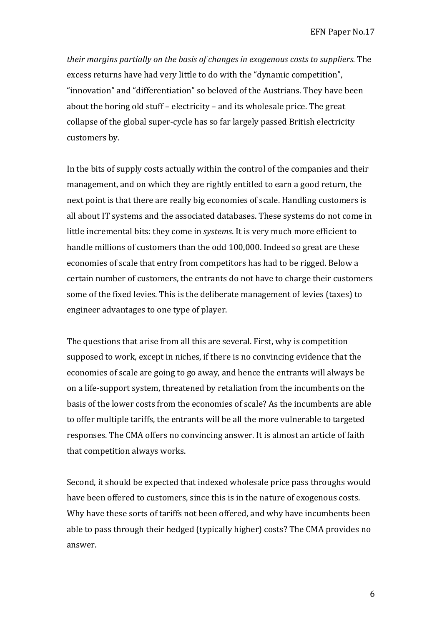*their margins partially on the basis of changes in exogenous costs to suppliers.* The excess returns have had very little to do with the "dynamic competition", "innovation" and "differentiation" so beloved of the Austrians. They have been about the boring old stuff – electricity – and its wholesale price. The great collapse of the global super-cycle has so far largely passed British electricity customers by.

In the bits of supply costs actually within the control of the companies and their management, and on which they are rightly entitled to earn a good return, the next point is that there are really big economies of scale. Handling customers is all about IT systems and the associated databases. These systems do not come in little incremental bits: they come in *systems*. It is very much more efficient to handle millions of customers than the odd 100,000. Indeed so great are these economies of scale that entry from competitors has had to be rigged. Below a certain number of customers, the entrants do not have to charge their customers some of the fixed levies. This is the deliberate management of levies (taxes) to engineer advantages to one type of player.

The questions that arise from all this are several. First, why is competition supposed to work, except in niches, if there is no convincing evidence that the economies of scale are going to go away, and hence the entrants will always be on a life-support system, threatened by retaliation from the incumbents on the basis of the lower costs from the economies of scale? As the incumbents are able to offer multiple tariffs, the entrants will be all the more vulnerable to targeted responses. The CMA offers no convincing answer. It is almost an article of faith that competition always works.

Second, it should be expected that indexed wholesale price pass throughs would have been offered to customers, since this is in the nature of exogenous costs. Why have these sorts of tariffs not been offered, and why have incumbents been able to pass through their hedged (typically higher) costs? The CMA provides no answer.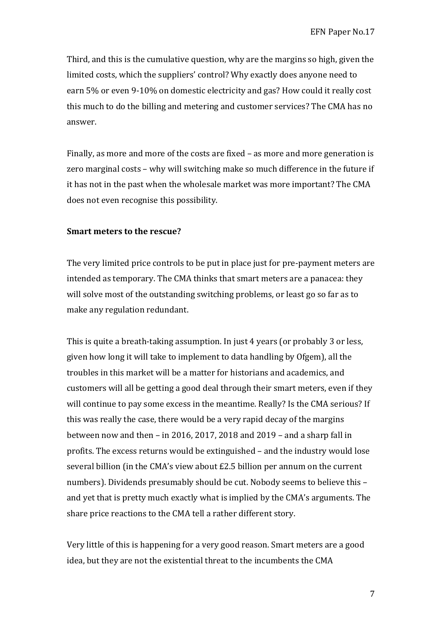Third, and this is the cumulative question, why are the margins so high, given the limited costs, which the suppliers' control? Why exactly does anyone need to earn 5% or even 9-10% on domestic electricity and gas? How could it really cost this much to do the billing and metering and customer services? The CMA has no answer.

Finally, as more and more of the costs are fixed  $-$  as more and more generation is zero marginal costs - why will switching make so much difference in the future if it has not in the past when the wholesale market was more important? The CMA does not even recognise this possibility.

#### **Smart meters to the rescue?**

The very limited price controls to be put in place just for pre-payment meters are intended as temporary. The CMA thinks that smart meters are a panacea: they will solve most of the outstanding switching problems, or least go so far as to make any regulation redundant.

This is quite a breath-taking assumption. In just 4 years (or probably 3 or less, given how long it will take to implement to data handling by Ofgem), all the troubles in this market will be a matter for historians and academics, and customers will all be getting a good deal through their smart meters, even if they will continue to pay some excess in the meantime. Really? Is the CMA serious? If this was really the case, there would be a very rapid decay of the margins between now and then – in 2016, 2017, 2018 and 2019 – and a sharp fall in profits. The excess returns would be extinguished – and the industry would lose several billion (in the CMA's view about  $£2.5$  billion per annum on the current numbers). Dividends presumably should be cut. Nobody seems to believe this and yet that is pretty much exactly what is implied by the CMA's arguments. The share price reactions to the CMA tell a rather different story.

Very little of this is happening for a very good reason. Smart meters are a good idea, but they are not the existential threat to the incumbents the CMA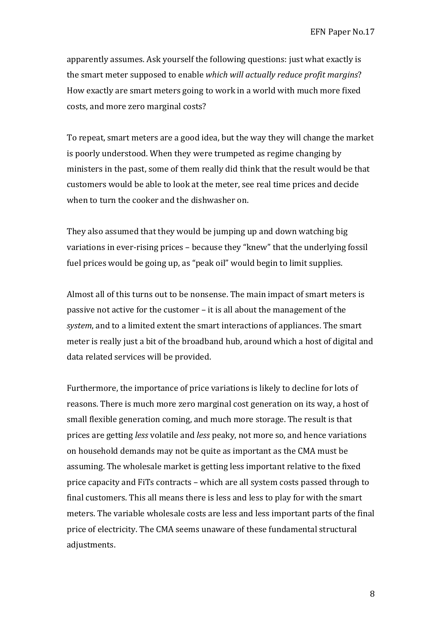apparently assumes. Ask yourself the following questions: just what exactly is the smart meter supposed to enable *which* will actually reduce profit margins? How exactly are smart meters going to work in a world with much more fixed costs, and more zero marginal costs?

To repeat, smart meters are a good idea, but the way they will change the market is poorly understood. When they were trumpeted as regime changing by ministers in the past, some of them really did think that the result would be that customers would be able to look at the meter, see real time prices and decide when to turn the cooker and the dishwasher on.

They also assumed that they would be jumping up and down watching big variations in ever-rising prices – because they "knew" that the underlying fossil fuel prices would be going up, as "peak oil" would begin to limit supplies.

Almost all of this turns out to be nonsense. The main impact of smart meters is passive not active for the customer – it is all about the management of the *system*, and to a limited extent the smart interactions of appliances. The smart meter is really just a bit of the broadband hub, around which a host of digital and data related services will be provided.

Furthermore, the importance of price variations is likely to decline for lots of reasons. There is much more zero marginal cost generation on its way, a host of small flexible generation coming, and much more storage. The result is that prices are getting *less* volatile and *less* peaky, not more so, and hence variations on household demands may not be quite as important as the CMA must be assuming. The wholesale market is getting less important relative to the fixed price capacity and FiTs contracts – which are all system costs passed through to final customers. This all means there is less and less to play for with the smart meters. The variable wholesale costs are less and less important parts of the final price of electricity. The CMA seems unaware of these fundamental structural adjustments.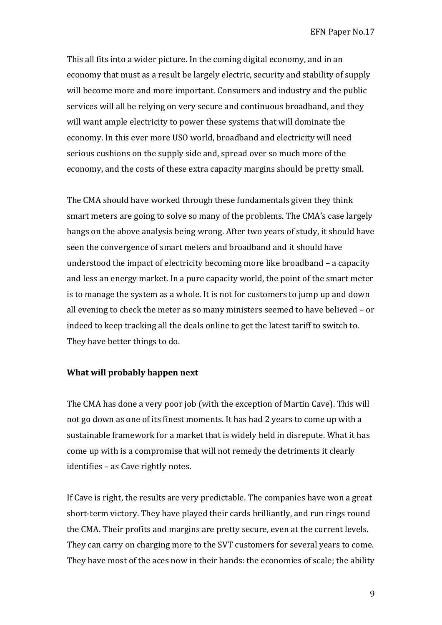This all fits into a wider picture. In the coming digital economy, and in an economy that must as a result be largely electric, security and stability of supply will become more and more important. Consumers and industry and the public services will all be relying on very secure and continuous broadband, and they will want ample electricity to power these systems that will dominate the economy. In this ever more USO world, broadband and electricity will need serious cushions on the supply side and, spread over so much more of the economy, and the costs of these extra capacity margins should be pretty small.

The CMA should have worked through these fundamentals given they think smart meters are going to solve so many of the problems. The CMA's case largely hangs on the above analysis being wrong. After two vears of study, it should have seen the convergence of smart meters and broadband and it should have understood the impact of electricity becoming more like broadband  $-$  a capacity and less an energy market. In a pure capacity world, the point of the smart meter is to manage the system as a whole. It is not for customers to jump up and down all evening to check the meter as so many ministers seemed to have believed – or indeed to keep tracking all the deals online to get the latest tariff to switch to. They have better things to do.

## **What will probably happen next**

The CMA has done a very poor job (with the exception of Martin Cave). This will not go down as one of its finest moments. It has had 2 years to come up with a sustainable framework for a market that is widely held in disrepute. What it has come up with is a compromise that will not remedy the detriments it clearly identifies – as Cave rightly notes.

If Cave is right, the results are very predictable. The companies have won a great short-term victory. They have played their cards brilliantly, and run rings round the CMA. Their profits and margins are pretty secure, even at the current levels. They can carry on charging more to the SVT customers for several years to come. They have most of the aces now in their hands: the economies of scale; the ability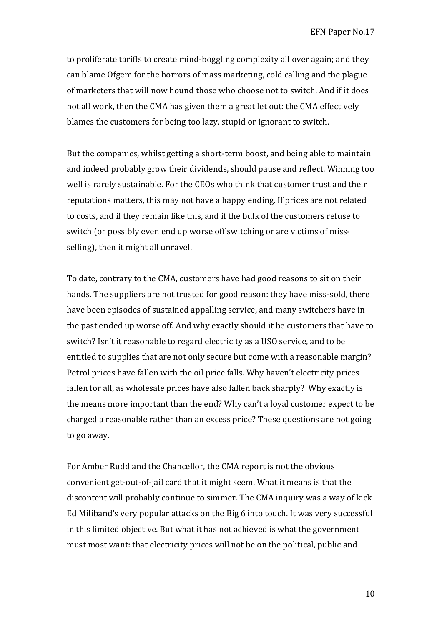to proliferate tariffs to create mind-boggling complexity all over again; and they can blame Ofgem for the horrors of mass marketing, cold calling and the plague of marketers that will now hound those who choose not to switch. And if it does not all work, then the CMA has given them a great let out: the CMA effectively blames the customers for being too lazy, stupid or ignorant to switch.

But the companies, whilst getting a short-term boost, and being able to maintain and indeed probably grow their dividends, should pause and reflect. Winning too well is rarely sustainable. For the CEOs who think that customer trust and their reputations matters, this may not have a happy ending. If prices are not related to costs, and if they remain like this, and if the bulk of the customers refuse to switch (or possibly even end up worse off switching or are victims of missselling), then it might all unravel.

To date, contrary to the CMA, customers have had good reasons to sit on their hands. The suppliers are not trusted for good reason: they have miss-sold, there have been episodes of sustained appalling service, and many switchers have in the past ended up worse off. And why exactly should it be customers that have to switch? Isn't it reasonable to regard electricity as a USO service, and to be entitled to supplies that are not only secure but come with a reasonable margin? Petrol prices have fallen with the oil price falls. Why haven't electricity prices fallen for all, as wholesale prices have also fallen back sharply? Why exactly is the means more important than the end? Why can't a loyal customer expect to be charged a reasonable rather than an excess price? These questions are not going to go away.

For Amber Rudd and the Chancellor, the CMA report is not the obvious convenient get-out-of-jail card that it might seem. What it means is that the discontent will probably continue to simmer. The CMA inquiry was a way of kick Ed Miliband's very popular attacks on the Big 6 into touch. It was very successful in this limited objective. But what it has not achieved is what the government must most want: that electricity prices will not be on the political, public and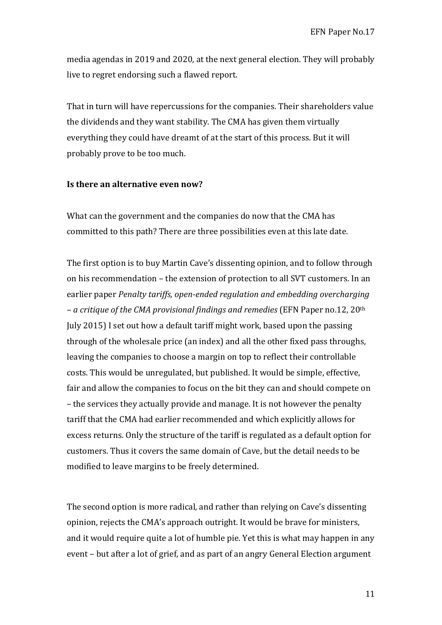media agendas in 2019 and 2020, at the next general election. They will probably live to regret endorsing such a flawed report.

That in turn will have repercussions for the companies. Their shareholders value the dividends and they want stability. The CMA has given them virtually everything they could have dreamt of at the start of this process. But it will probably prove to be too much.

## **Is there an alternative even now?**

What can the government and the companies do now that the CMA has committed to this path? There are three possibilities even at this late date.

The first option is to buy Martin Cave's dissenting opinion, and to follow through on his recommendation – the extension of protection to all SVT customers. In an earlier paper *Penalty tariffs, open-ended regulation and embedding overcharging – a critique of the CMA provisional findings and remedies* (EFN Paper no.12, 20th July 2015) I set out how a default tariff might work, based upon the passing through of the wholesale price (an index) and all the other fixed pass throughs, leaving the companies to choose a margin on top to reflect their controllable costs. This would be unregulated, but published. It would be simple, effective, fair and allow the companies to focus on the bit they can and should compete on – the services they actually provide and manage. It is not however the penalty tariff that the CMA had earlier recommended and which explicitly allows for excess returns. Only the structure of the tariff is regulated as a default option for customers. Thus it covers the same domain of Cave, but the detail needs to be modified to leave margins to be freely determined.

The second option is more radical, and rather than relying on Cave's dissenting opinion, rejects the CMA's approach outright. It would be brave for ministers, and it would require quite a lot of humble pie. Yet this is what may happen in any event – but after a lot of grief, and as part of an angry General Election argument